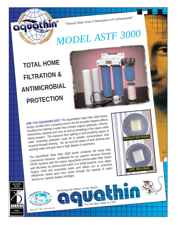"Filtered Water from A Masterpiece of Craftsmanship"

## *MODEL ASTF 3000*

without Microban

with Microban

## **TOTAL HOME FILTRATION & ANTIMICROBIAL PROTECTION**

*ARE YOU AQUASHIELDED? The AquaShield Triple Filter 3000 Series design resulted from a growing concern for the possible negative effects resulting from bathing in water that contains organic pollutants, chlorine, chloramines, bacteria and virus as well as breathing in the vapors while taking showers. The exposure from bathing in and breathing vapors of* water containing pollutants could be in greater concentrations than *acquired through drinking. Yet, we must be aware of both drinking and washing water and give each a high degree of importance.*

*The AquaShield Triple Filter 3000 Series combines the heavy duty Commercial Industrial prefiltration for our superior Reverse Osmosis PPVM Systems with the unique AquaShield Antimicrobial Filter Series with Microban, an antimicrobial within it to inhibit bacteria, virus, algae, fungus, mold and associated odors...and allows you to customize efficiencies based upon your needs through the capacity to select among our superior quality cartridges.* 

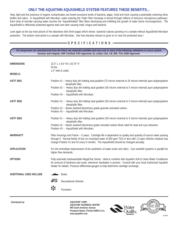## **ONLY THE AQUATHIN AQUASHIELD SYSTEM FEATURES THESE BENEFITS...**

Heat, light and the presence of organic contaminates can breed excessive levels of bacteria, algae, mold and more causing a potentially sickening slimy biofilm and odors. In AquaShield with Microban, water entering the Triple Filter Housings is forced through millions of torturous microporous pathways. Each drop of microbe carrying water touches the "AquaShielded" filter fibers destroying and inhibiting the growth of water borne microorganisms. The AquaShield is effectively protected against stain and odor causing mold, fungus and bacteria.

Look again at the top inset picture of the laboratory dish (front page) which shows bacterial cultures growing on a sample without AquaShield Microban protection. The bottom inset photo is a sample with Microban. See how bacteria refuses to grow on or near the protected area !

## **S P E C I F I C A T I O N S :**

**All components are manufactured from the finest raw materials available and carry one or more of the following validations to insure system function and integrity: NSF Certified, FDA Approved, UL Listed, CSA, CE, BSI, TUV, ANSI Approved.**

| <b>DIMENSIONS</b>              | 22.5" L x 8.5" W x 26.75" H<br>$45$ lbs.<br>1.5" inlet & outlet.                                                                                                                                                                                                                                                                  |  |  |  |  |  |  |  |  |  |
|--------------------------------|-----------------------------------------------------------------------------------------------------------------------------------------------------------------------------------------------------------------------------------------------------------------------------------------------------------------------------------|--|--|--|--|--|--|--|--|--|
| <b>MODELS:</b>                 |                                                                                                                                                                                                                                                                                                                                   |  |  |  |  |  |  |  |  |  |
| <b>ASTF 3001</b>               | Position #1 -- Heavy duty dirt holding dual gradient (75 micron external to 25 micron internal) spun polypropylene<br>oleophyllic filter.<br>Position #2 -- Heavy duty dirt holding dual gradient (50 micron external to 5 micron internal) spun polypropylene<br>oleophyllic filter.<br>Position #3 -- AquaShield with Microban. |  |  |  |  |  |  |  |  |  |
| <b>ASTF 3002</b>               | Position #1 -- Heavy duty dirt holding dual gradient (50 micron external to 5 micron internal) spun polypropylene<br>oleophyllic filter.<br>Position #2 -- Steam washed bituminous grade granular activated carbon.<br>Position #3 -- AquaShield with Microban.                                                                   |  |  |  |  |  |  |  |  |  |
| <b>ASTF 3003</b>               | Position #1 -- Heavy duty dirt holding dual gradient (50 micron external to 5 micron internal) spun polypropylene<br>oleophyllic filter.<br>Position #2 -- Steam washed bituminous grade extruded carbon block rated for lead and cyst reduction.<br>Position #3 -- AquaShield with Microban.                                     |  |  |  |  |  |  |  |  |  |
| <b>WARRANTY</b>                | Filter Housings and Frame -- 5 years. Cartridge life is dependent on quality and quantity of source water passing<br>through it. Normal family of four on municipal water of 500 ppm TDS or less with 1.0 ppm chlorine residual may<br>change Position #1 and #2 every 6 months. The AquaShield should be changed annually.       |  |  |  |  |  |  |  |  |  |
| <b>APPLICATION</b>             | For the immediate improvement of the aesthetics of water (color and odor). Can manifold systems in parallel for<br>higher flow demands.                                                                                                                                                                                           |  |  |  |  |  |  |  |  |  |
| <b>OPTIONS</b>                 | Fully automatic backwashable MegaChar Series. Ideal to combine with Aquathin Soft & Clean Water Conditioner<br>for removal of hardness and scale, whenever hardwater is present. Consult with your local Authorized Aquathin<br>Dealer for details. Pressure differential gauges to help determine cartridge exchange.            |  |  |  |  |  |  |  |  |  |
| <b>ADDITIONAL USES INCLUDE</b> | <b>Boats</b>                                                                                                                                                                                                                                                                                                                      |  |  |  |  |  |  |  |  |  |
|                                | 軸<br><b>Recreational Vehicles</b>                                                                                                                                                                                                                                                                                                 |  |  |  |  |  |  |  |  |  |
|                                | <b>Fountains</b>                                                                                                                                                                                                                                                                                                                  |  |  |  |  |  |  |  |  |  |

**AQUATHIN® BUSINESS CENTRE 950 South Andrews Avenue Pompano Beach, Florida 33069 U.S.A.**  $www.aquathin.com$ 



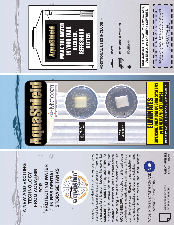

STORAGE TANKS **STORAGE TANKS** FROM AQUATHIN **FROM AQUATHIN** IN RESIDENTIAL



reservoirs for water storage and pressure. These tanks is designed to remove sediment and integrates virus, algae, fungus, mold and associated odors. The AQUASHIELD<sup>TM</sup>, constructed of sinterized porous bial life of one year. Microban is non-leachable, non Throughout the world-millions of homes use rooftop AQUASHIELD<sup>TM</sup> TANK FILTER by AQUATHIN USA polyethylene, is rugged, durable and has an antimicroheavy metal, tasteless, odorless and colorless - used Throughout the world millions of homes use rooftop reservoirs for water storage and pressure. These tanks are incubators for all forms of microbes. The economical are incubators for all forms of microbes. The economical **AQUASHIELD**J **TANK FILTER** by **AQUATHIN USA** is designed to remove sediment and integrates Microban, an antimicrobial within it to inhibit bacteria, virus, algae, fungus, mold and associated odors. The **AQUASHIELD**J, constructed of sinterized porous polyethylene, is rugged, durable and has an antimicrobial life of one year. **Microban** is non-leachable, non heavy metal, tasteless, odorless and colorless -- used extensively in the medical and food industry. **Microban**, an antimicrobial within it to inhibit bacteria, extensively in the medical and food industry.